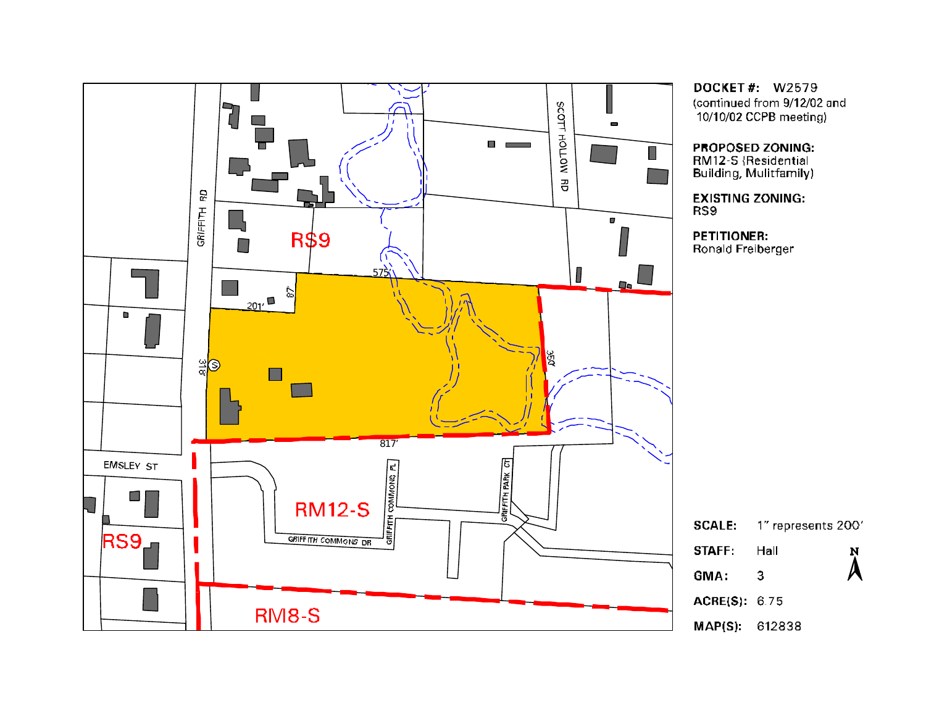

**DOCKET#: W2579** (continued from 9/12/02 and 10/10/02 CCPB meeting)

#### PROPOSED ZONING:

RM12-S {Residential Building, Mulitfamily)

**EXISTING ZONING:** 

**PETITIONER:** Ronald Freiberger

|                   | $\mathsf{CALE:}\quad$ 1" represents 2001 |           |  |  |
|-------------------|------------------------------------------|-----------|--|--|
| <b>TAFF: Hall</b> |                                          | N         |  |  |
| MA:               | З                                        | $\lambda$ |  |  |
| CRE(S): 6.75      |                                          |           |  |  |
|                   | AP(S): 612838                            |           |  |  |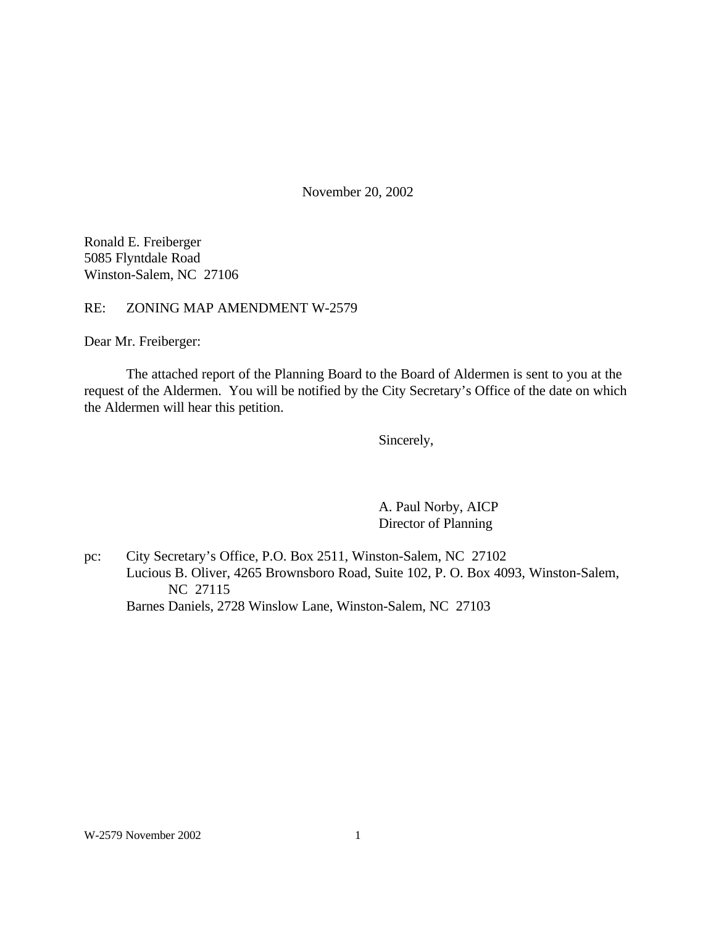November 20, 2002

Ronald E. Freiberger 5085 Flyntdale Road Winston-Salem, NC 27106

RE: ZONING MAP AMENDMENT W-2579

Dear Mr. Freiberger:

The attached report of the Planning Board to the Board of Aldermen is sent to you at the request of the Aldermen. You will be notified by the City Secretary's Office of the date on which the Aldermen will hear this petition.

Sincerely,

A. Paul Norby, AICP Director of Planning

pc: City Secretary's Office, P.O. Box 2511, Winston-Salem, NC 27102 Lucious B. Oliver, 4265 Brownsboro Road, Suite 102, P. O. Box 4093, Winston-Salem, NC 27115 Barnes Daniels, 2728 Winslow Lane, Winston-Salem, NC 27103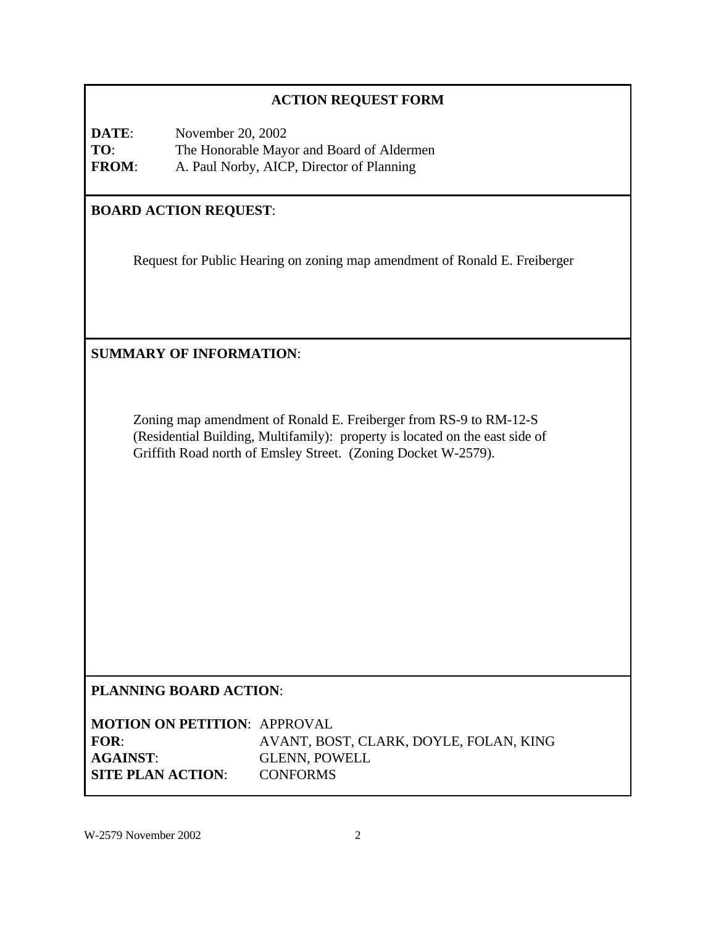# **ACTION REQUEST FORM**

**DATE:** November 20, 2002 **TO**: The Honorable Mayor and Board of Aldermen **FROM**: A. Paul Norby, AICP, Director of Planning

# **BOARD ACTION REQUEST**:

Request for Public Hearing on zoning map amendment of Ronald E. Freiberger

**SUMMARY OF INFORMATION**:

Zoning map amendment of Ronald E. Freiberger from RS-9 to RM-12-S (Residential Building, Multifamily): property is located on the east side of Griffith Road north of Emsley Street. (Zoning Docket W-2579).

# **PLANNING BOARD ACTION**:

**MOTION ON PETITION**: APPROVAL **FOR**: AVANT, BOST, CLARK, DOYLE, FOLAN, KING **AGAINST**: GLENN, POWELL **SITE PLAN ACTION**: CONFORMS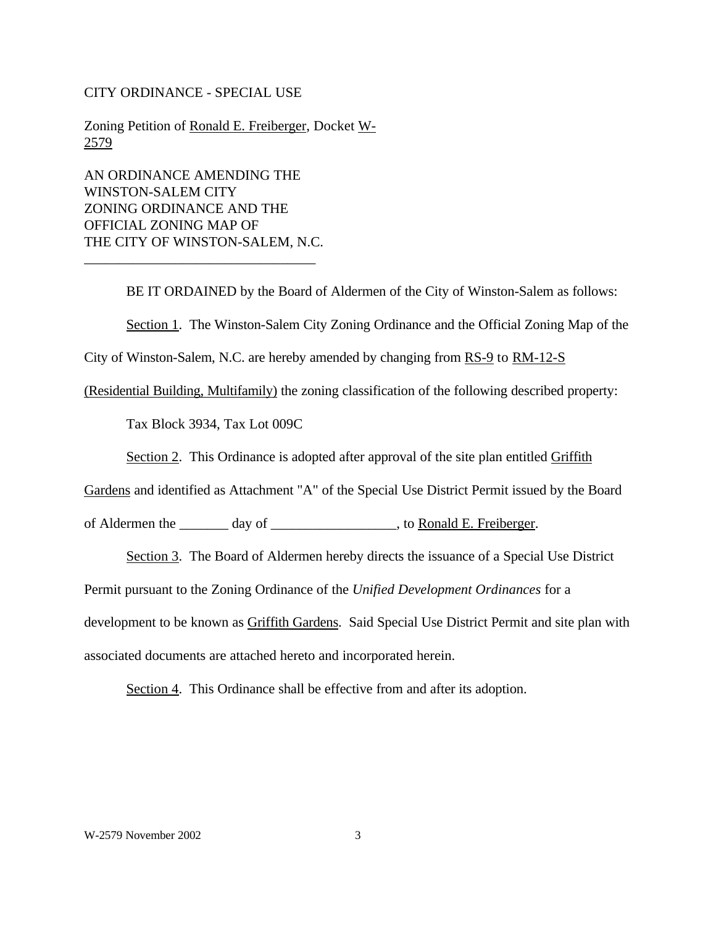#### CITY ORDINANCE - SPECIAL USE

Zoning Petition of Ronald E. Freiberger, Docket W-2579

AN ORDINANCE AMENDING THE WINSTON-SALEM CITY ZONING ORDINANCE AND THE OFFICIAL ZONING MAP OF THE CITY OF WINSTON-SALEM, N.C.

\_\_\_\_\_\_\_\_\_\_\_\_\_\_\_\_\_\_\_\_\_\_\_\_\_\_\_\_\_\_\_\_\_

BE IT ORDAINED by the Board of Aldermen of the City of Winston-Salem as follows: Section 1. The Winston-Salem City Zoning Ordinance and the Official Zoning Map of the

City of Winston-Salem, N.C. are hereby amended by changing from RS-9 to RM-12-S

(Residential Building, Multifamily) the zoning classification of the following described property:

Tax Block 3934, Tax Lot 009C

Section 2. This Ordinance is adopted after approval of the site plan entitled Griffith

Gardens and identified as Attachment "A" of the Special Use District Permit issued by the Board

of Aldermen the \_\_\_\_\_\_\_ day of \_\_\_\_\_\_\_\_\_\_\_\_\_\_\_\_\_\_, to Ronald E. Freiberger.

Section 3. The Board of Aldermen hereby directs the issuance of a Special Use District

Permit pursuant to the Zoning Ordinance of the *Unified Development Ordinances* for a

development to be known as Griffith Gardens. Said Special Use District Permit and site plan with

associated documents are attached hereto and incorporated herein.

Section 4. This Ordinance shall be effective from and after its adoption.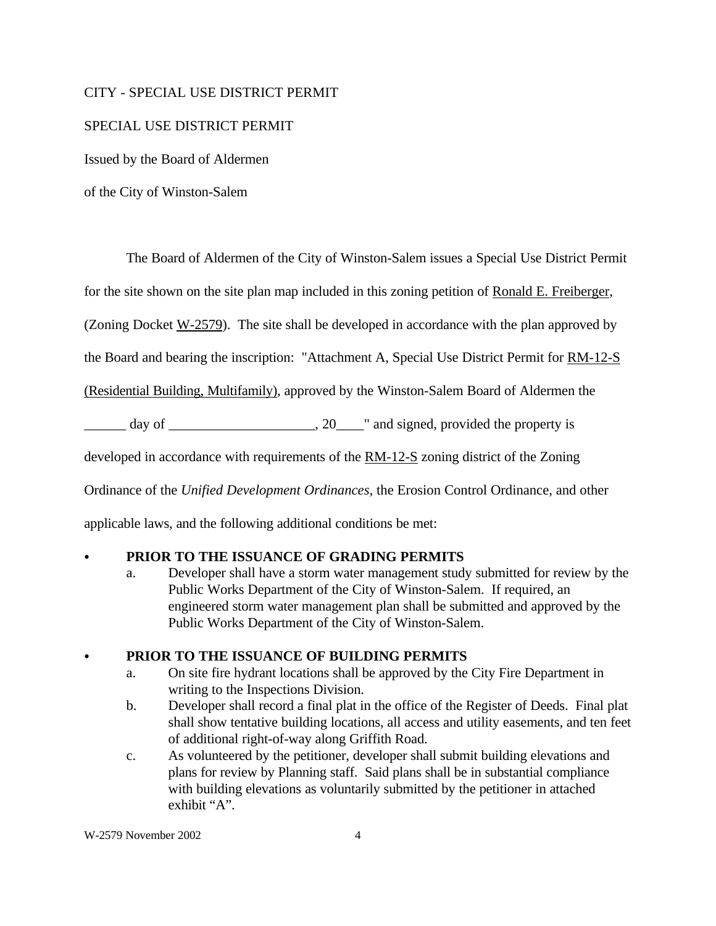#### CITY - SPECIAL USE DISTRICT PERMIT

#### SPECIAL USE DISTRICT PERMIT

Issued by the Board of Aldermen

of the City of Winston-Salem

The Board of Aldermen of the City of Winston-Salem issues a Special Use District Permit

for the site shown on the site plan map included in this zoning petition of Ronald E. Freiberger,

(Zoning Docket W-2579). The site shall be developed in accordance with the plan approved by

the Board and bearing the inscription: "Attachment A, Special Use District Permit for RM-12-S

(Residential Building, Multifamily), approved by the Winston-Salem Board of Aldermen the

\_\_\_\_\_\_ day of \_\_\_\_\_\_\_\_\_\_\_\_\_\_\_\_\_\_\_\_\_, 20\_\_\_\_" and signed, provided the property is

developed in accordance with requirements of the RM-12-S zoning district of the Zoning

Ordinance of the *Unified Development Ordinances*, the Erosion Control Ordinance, and other

applicable laws, and the following additional conditions be met:

### PRIOR TO THE ISSUANCE OF GRADING PERMITS

a. Developer shall have a storm water management study submitted for review by the Public Works Department of the City of Winston-Salem. If required, an engineered storm water management plan shall be submitted and approved by the Public Works Department of the City of Winston-Salem.

### PRIOR TO THE ISSUANCE OF BUILDING PERMITS

- a. On site fire hydrant locations shall be approved by the City Fire Department in writing to the Inspections Division.
- b. Developer shall record a final plat in the office of the Register of Deeds. Final plat shall show tentative building locations, all access and utility easements, and ten feet of additional right-of-way along Griffith Road.
- c. As volunteered by the petitioner, developer shall submit building elevations and plans for review by Planning staff. Said plans shall be in substantial compliance with building elevations as voluntarily submitted by the petitioner in attached exhibit "A".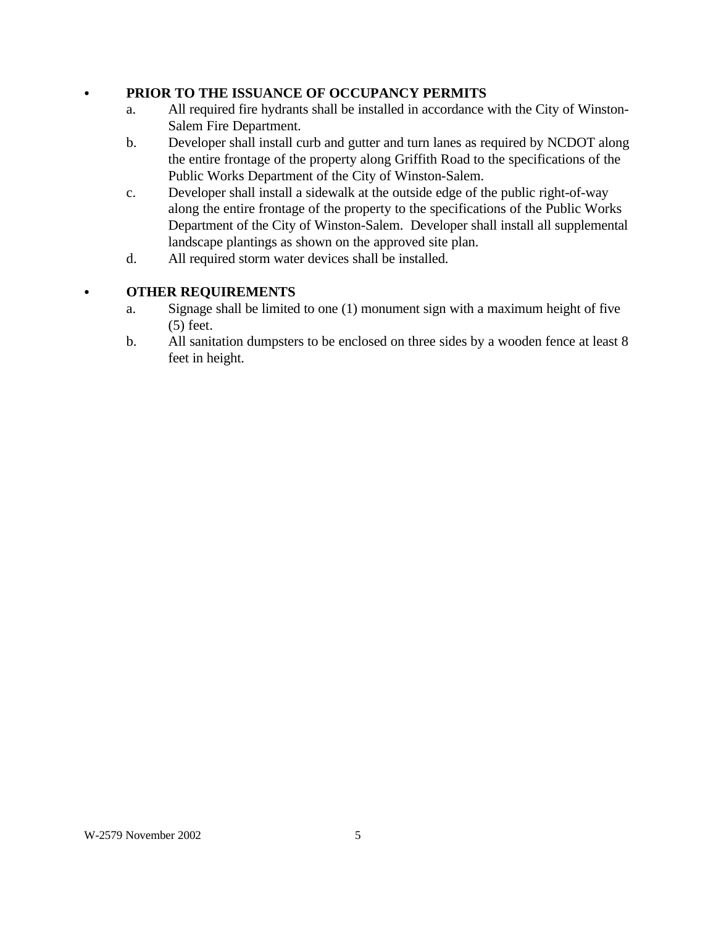### C **PRIOR TO THE ISSUANCE OF OCCUPANCY PERMITS**

- a. All required fire hydrants shall be installed in accordance with the City of Winston-Salem Fire Department.
- b. Developer shall install curb and gutter and turn lanes as required by NCDOT along the entire frontage of the property along Griffith Road to the specifications of the Public Works Department of the City of Winston-Salem.
- c. Developer shall install a sidewalk at the outside edge of the public right-of-way along the entire frontage of the property to the specifications of the Public Works Department of the City of Winston-Salem. Developer shall install all supplemental landscape plantings as shown on the approved site plan.
- d. All required storm water devices shall be installed.

### C **OTHER REQUIREMENTS**

- a. Signage shall be limited to one (1) monument sign with a maximum height of five (5) feet.
- b. All sanitation dumpsters to be enclosed on three sides by a wooden fence at least 8 feet in height.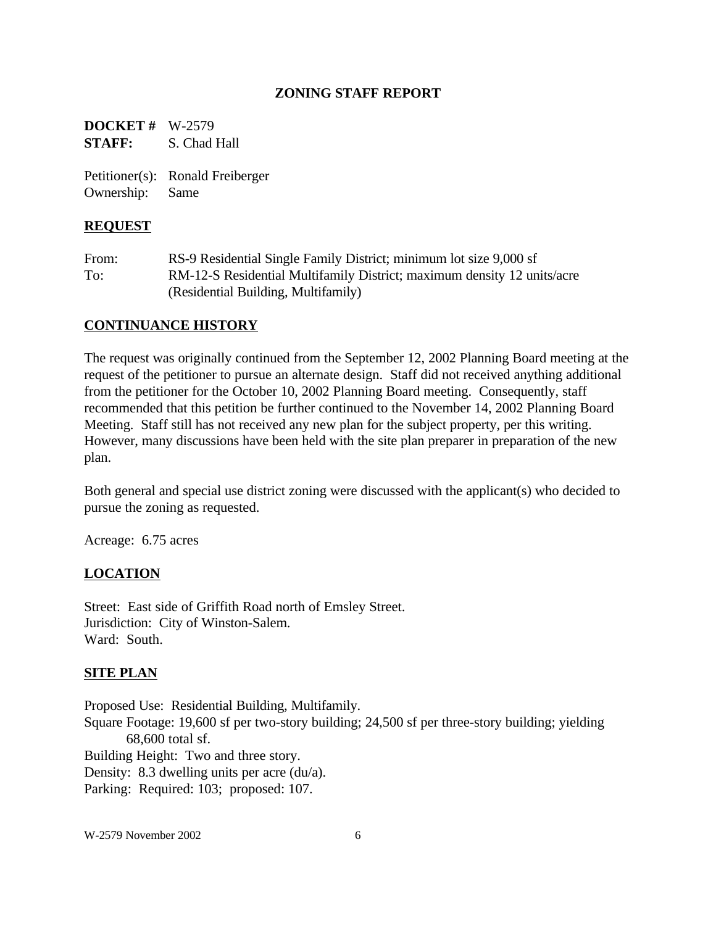#### **ZONING STAFF REPORT**

**DOCKET #** W-2579 **STAFF:** S. Chad Hall

Petitioner(s): Ronald Freiberger Ownership: Same

#### **REQUEST**

From: RS-9 Residential Single Family District; minimum lot size 9,000 sf To: RM-12-S Residential Multifamily District; maximum density 12 units/acre (Residential Building, Multifamily)

### **CONTINUANCE HISTORY**

The request was originally continued from the September 12, 2002 Planning Board meeting at the request of the petitioner to pursue an alternate design. Staff did not received anything additional from the petitioner for the October 10, 2002 Planning Board meeting. Consequently, staff recommended that this petition be further continued to the November 14, 2002 Planning Board Meeting. Staff still has not received any new plan for the subject property, per this writing. However, many discussions have been held with the site plan preparer in preparation of the new plan.

Both general and special use district zoning were discussed with the applicant(s) who decided to pursue the zoning as requested.

Acreage: 6.75 acres

### **LOCATION**

Street: East side of Griffith Road north of Emsley Street. Jurisdiction: City of Winston-Salem. Ward: South.

### **SITE PLAN**

Proposed Use: Residential Building, Multifamily. Square Footage: 19,600 sf per two-story building; 24,500 sf per three-story building; yielding 68,600 total sf. Building Height: Two and three story. Density: 8.3 dwelling units per acre (du/a). Parking: Required: 103; proposed: 107.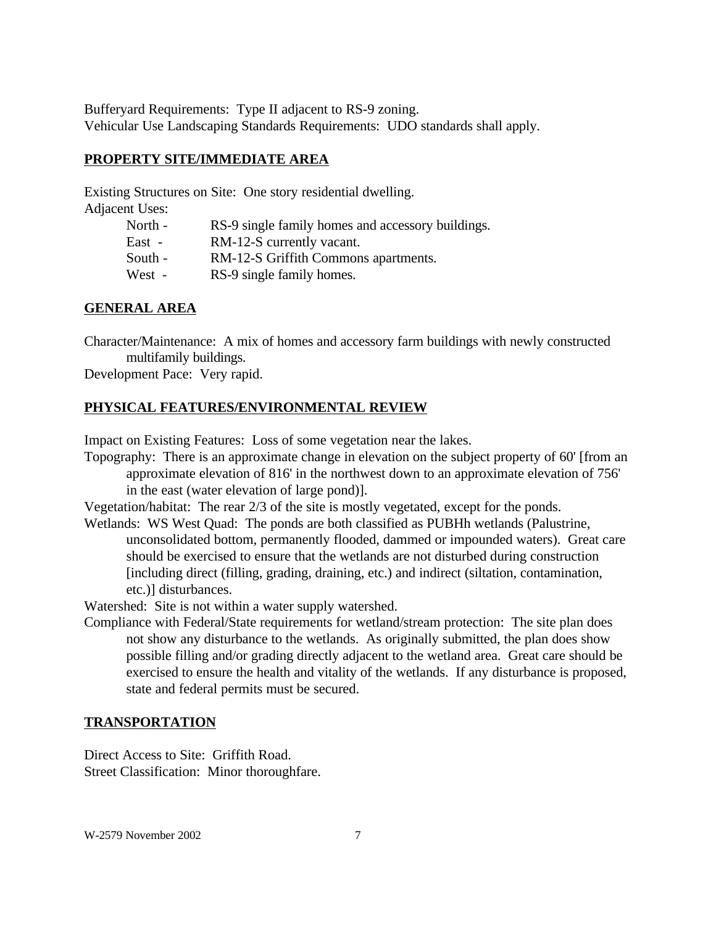Bufferyard Requirements: Type II adjacent to RS-9 zoning. Vehicular Use Landscaping Standards Requirements: UDO standards shall apply.

### **PROPERTY SITE/IMMEDIATE AREA**

Existing Structures on Site: One story residential dwelling. Adjacent Uses:

| II USES. |                                                   |
|----------|---------------------------------------------------|
| North -  | RS-9 single family homes and accessory buildings. |
| East -   | RM-12-S currently vacant.                         |
| South -  | RM-12-S Griffith Commons apartments.              |
| West -   | RS-9 single family homes.                         |
|          |                                                   |

# **GENERAL AREA**

Character/Maintenance: A mix of homes and accessory farm buildings with newly constructed multifamily buildings.

Development Pace: Very rapid.

# **PHYSICAL FEATURES/ENVIRONMENTAL REVIEW**

Impact on Existing Features: Loss of some vegetation near the lakes.

Topography: There is an approximate change in elevation on the subject property of 60' [from an approximate elevation of 816' in the northwest down to an approximate elevation of 756' in the east (water elevation of large pond)].

Vegetation/habitat: The rear 2/3 of the site is mostly vegetated, except for the ponds.

Wetlands: WS West Quad: The ponds are both classified as PUBHh wetlands (Palustrine, unconsolidated bottom, permanently flooded, dammed or impounded waters). Great care should be exercised to ensure that the wetlands are not disturbed during construction [including direct (filling, grading, draining, etc.) and indirect (siltation, contamination, etc.)] disturbances.

Watershed: Site is not within a water supply watershed.

Compliance with Federal/State requirements for wetland/stream protection: The site plan does not show any disturbance to the wetlands. As originally submitted, the plan does show possible filling and/or grading directly adjacent to the wetland area. Great care should be exercised to ensure the health and vitality of the wetlands. If any disturbance is proposed, state and federal permits must be secured.

# **TRANSPORTATION**

Direct Access to Site: Griffith Road. Street Classification: Minor thoroughfare.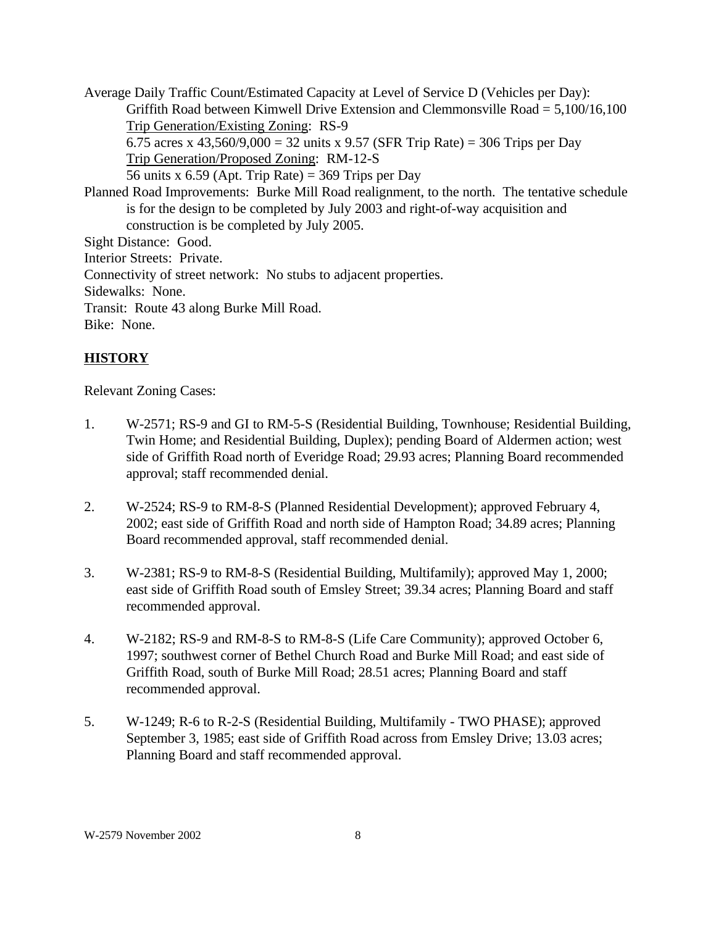Average Daily Traffic Count/Estimated Capacity at Level of Service D (Vehicles per Day): Griffith Road between Kimwell Drive Extension and Clemmonsville Road = 5,100/16,100 Trip Generation/Existing Zoning: RS-9 6.75 acres x 43,560/9,000 = 32 units x 9.57 (SFR Trip Rate) = 306 Trips per Day Trip Generation/Proposed Zoning: RM-12-S 56 units x 6.59 (Apt. Trip Rate) =  $369$  Trips per Day Planned Road Improvements: Burke Mill Road realignment, to the north. The tentative schedule is for the design to be completed by July 2003 and right-of-way acquisition and construction is be completed by July 2005. Sight Distance: Good. Interior Streets: Private. Connectivity of street network: No stubs to adjacent properties. Sidewalks: None. Transit: Route 43 along Burke Mill Road. Bike: None.

# **HISTORY**

Relevant Zoning Cases:

- 1. W-2571; RS-9 and GI to RM-5-S (Residential Building, Townhouse; Residential Building, Twin Home; and Residential Building, Duplex); pending Board of Aldermen action; west side of Griffith Road north of Everidge Road; 29.93 acres; Planning Board recommended approval; staff recommended denial.
- 2. W-2524; RS-9 to RM-8-S (Planned Residential Development); approved February 4, 2002; east side of Griffith Road and north side of Hampton Road; 34.89 acres; Planning Board recommended approval, staff recommended denial.
- 3. W-2381; RS-9 to RM-8-S (Residential Building, Multifamily); approved May 1, 2000; east side of Griffith Road south of Emsley Street; 39.34 acres; Planning Board and staff recommended approval.
- 4. W-2182; RS-9 and RM-8-S to RM-8-S (Life Care Community); approved October 6, 1997; southwest corner of Bethel Church Road and Burke Mill Road; and east side of Griffith Road, south of Burke Mill Road; 28.51 acres; Planning Board and staff recommended approval.
- 5. W-1249; R-6 to R-2-S (Residential Building, Multifamily TWO PHASE); approved September 3, 1985; east side of Griffith Road across from Emsley Drive; 13.03 acres; Planning Board and staff recommended approval.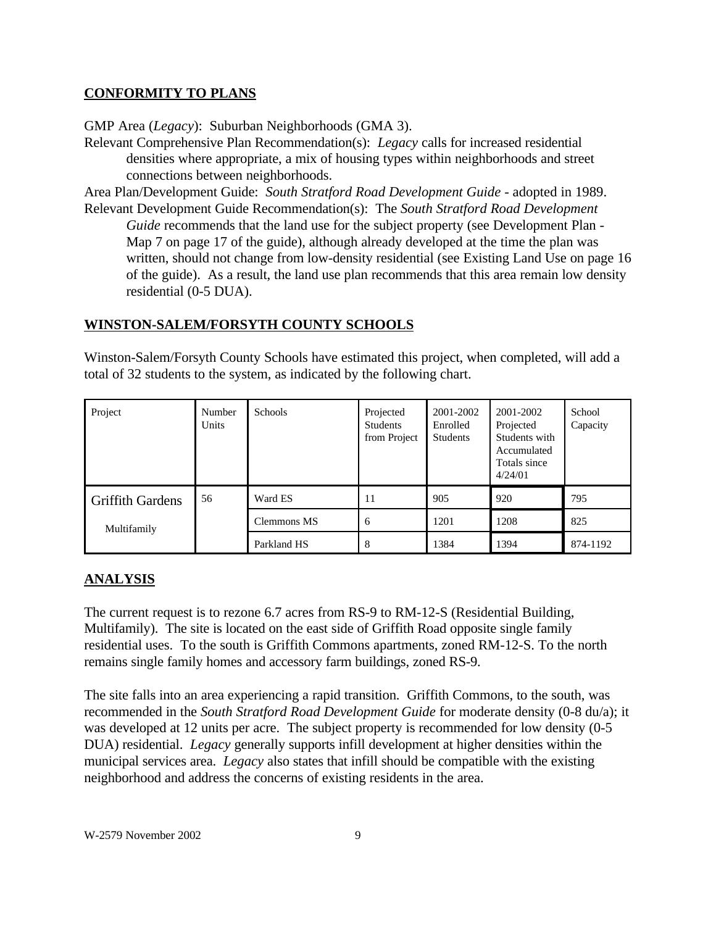# **CONFORMITY TO PLANS**

GMP Area (*Legacy*): Suburban Neighborhoods (GMA 3).

Relevant Comprehensive Plan Recommendation(s): *Legacy* calls for increased residential densities where appropriate, a mix of housing types within neighborhoods and street connections between neighborhoods.

Area Plan/Development Guide: *South Stratford Road Development Guide* - adopted in 1989. Relevant Development Guide Recommendation(s): The *South Stratford Road Development*

*Guide* recommends that the land use for the subject property (see Development Plan - Map 7 on page 17 of the guide), although already developed at the time the plan was written, should not change from low-density residential (see Existing Land Use on page 16 of the guide). As a result, the land use plan recommends that this area remain low density residential (0-5 DUA).

# **WINSTON-SALEM/FORSYTH COUNTY SCHOOLS**

Winston-Salem/Forsyth County Schools have estimated this project, when completed, will add a total of 32 students to the system, as indicated by the following chart.

| Project                 | Number<br>Units | <b>Schools</b>     | Projected<br><b>Students</b><br>from Project | 2001-2002<br>Enrolled<br>Students | 2001-2002<br>Projected<br>Students with<br>Accumulated<br>Totals since<br>4/24/01 | School<br>Capacity |
|-------------------------|-----------------|--------------------|----------------------------------------------|-----------------------------------|-----------------------------------------------------------------------------------|--------------------|
| <b>Griffith Gardens</b> | 56              | Ward ES            | 11                                           | 905                               | 920                                                                               | 795                |
| Multifamily             |                 | <b>Clemmons MS</b> | 6                                            | 1201                              | 1208                                                                              | 825                |
|                         |                 | Parkland HS        | 8                                            | 1384                              | 1394                                                                              | 874-1192           |

# **ANALYSIS**

The current request is to rezone 6.7 acres from RS-9 to RM-12-S (Residential Building, Multifamily). The site is located on the east side of Griffith Road opposite single family residential uses. To the south is Griffith Commons apartments, zoned RM-12-S. To the north remains single family homes and accessory farm buildings, zoned RS-9.

The site falls into an area experiencing a rapid transition. Griffith Commons, to the south, was recommended in the *South Stratford Road Development Guide* for moderate density (0-8 du/a); it was developed at 12 units per acre. The subject property is recommended for low density (0-5 DUA) residential. *Legacy* generally supports infill development at higher densities within the municipal services area. *Legacy* also states that infill should be compatible with the existing neighborhood and address the concerns of existing residents in the area.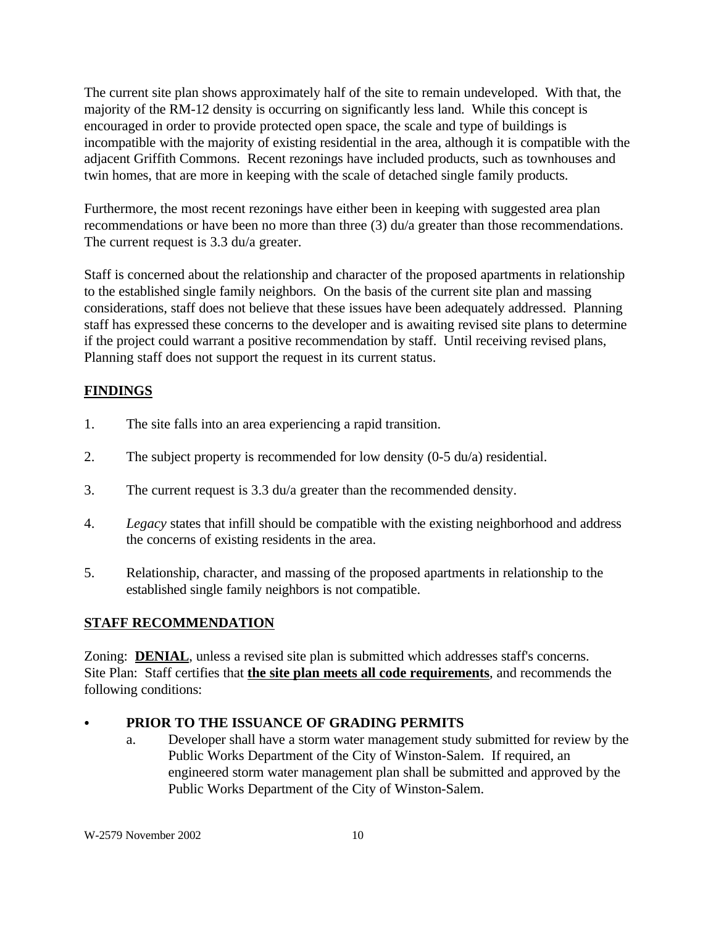The current site plan shows approximately half of the site to remain undeveloped. With that, the majority of the RM-12 density is occurring on significantly less land. While this concept is encouraged in order to provide protected open space, the scale and type of buildings is incompatible with the majority of existing residential in the area, although it is compatible with the adjacent Griffith Commons. Recent rezonings have included products, such as townhouses and twin homes, that are more in keeping with the scale of detached single family products.

Furthermore, the most recent rezonings have either been in keeping with suggested area plan recommendations or have been no more than three (3) du/a greater than those recommendations. The current request is 3.3 du/a greater.

Staff is concerned about the relationship and character of the proposed apartments in relationship to the established single family neighbors. On the basis of the current site plan and massing considerations, staff does not believe that these issues have been adequately addressed. Planning staff has expressed these concerns to the developer and is awaiting revised site plans to determine if the project could warrant a positive recommendation by staff. Until receiving revised plans, Planning staff does not support the request in its current status.

# **FINDINGS**

- 1. The site falls into an area experiencing a rapid transition.
- 2. The subject property is recommended for low density (0-5 du/a) residential.
- 3. The current request is 3.3 du/a greater than the recommended density.
- 4. *Legacy* states that infill should be compatible with the existing neighborhood and address the concerns of existing residents in the area.
- 5. Relationship, character, and massing of the proposed apartments in relationship to the established single family neighbors is not compatible.

# **STAFF RECOMMENDATION**

Zoning: **DENIAL**, unless a revised site plan is submitted which addresses staff's concerns. Site Plan: Staff certifies that **the site plan meets all code requirements**, and recommends the following conditions:

### PRIOR TO THE ISSUANCE OF GRADING PERMITS

a. Developer shall have a storm water management study submitted for review by the Public Works Department of the City of Winston-Salem. If required, an engineered storm water management plan shall be submitted and approved by the Public Works Department of the City of Winston-Salem.

W-2579 November 2002 10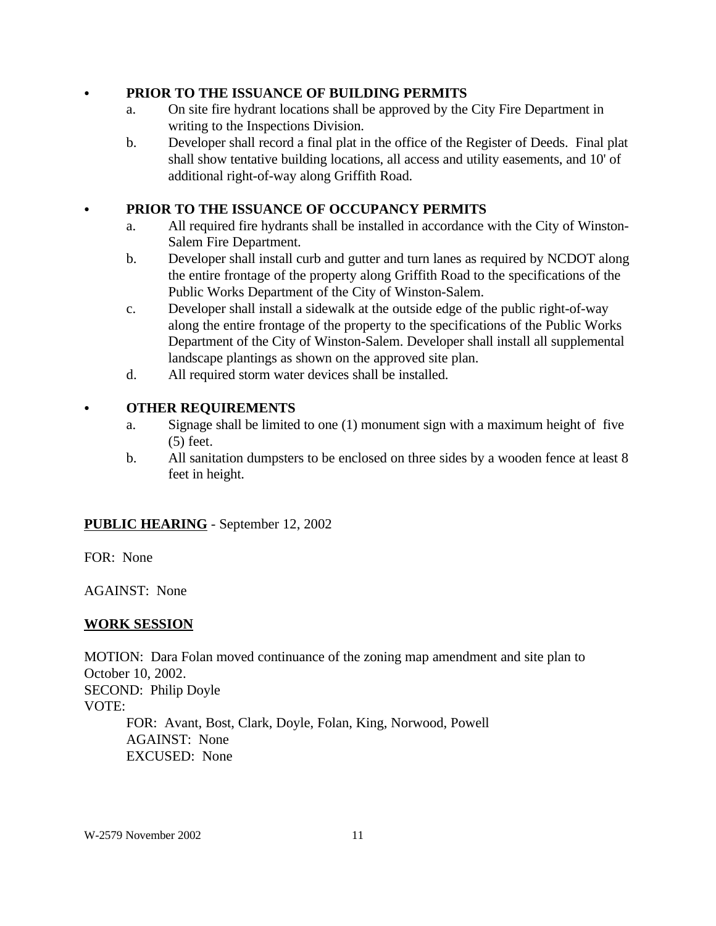### C **PRIOR TO THE ISSUANCE OF BUILDING PERMITS**

- a. On site fire hydrant locations shall be approved by the City Fire Department in writing to the Inspections Division.
- b. Developer shall record a final plat in the office of the Register of Deeds. Final plat shall show tentative building locations, all access and utility easements, and 10' of additional right-of-way along Griffith Road.

# PRIOR TO THE ISSUANCE OF OCCUPANCY PERMITS

- a. All required fire hydrants shall be installed in accordance with the City of Winston-Salem Fire Department.
- b. Developer shall install curb and gutter and turn lanes as required by NCDOT along the entire frontage of the property along Griffith Road to the specifications of the Public Works Department of the City of Winston-Salem.
- c. Developer shall install a sidewalk at the outside edge of the public right-of-way along the entire frontage of the property to the specifications of the Public Works Department of the City of Winston-Salem. Developer shall install all supplemental landscape plantings as shown on the approved site plan.
- d. All required storm water devices shall be installed.

### **• OTHER REQUIREMENTS**

- a. Signage shall be limited to one (1) monument sign with a maximum height of five (5) feet.
- b. All sanitation dumpsters to be enclosed on three sides by a wooden fence at least 8 feet in height.

# **PUBLIC HEARING** - September 12, 2002

FOR: None

AGAINST: None

### **WORK SESSION**

MOTION: Dara Folan moved continuance of the zoning map amendment and site plan to October 10, 2002. SECOND: Philip Doyle VOTE: FOR: Avant, Bost, Clark, Doyle, Folan, King, Norwood, Powell AGAINST: None EXCUSED: None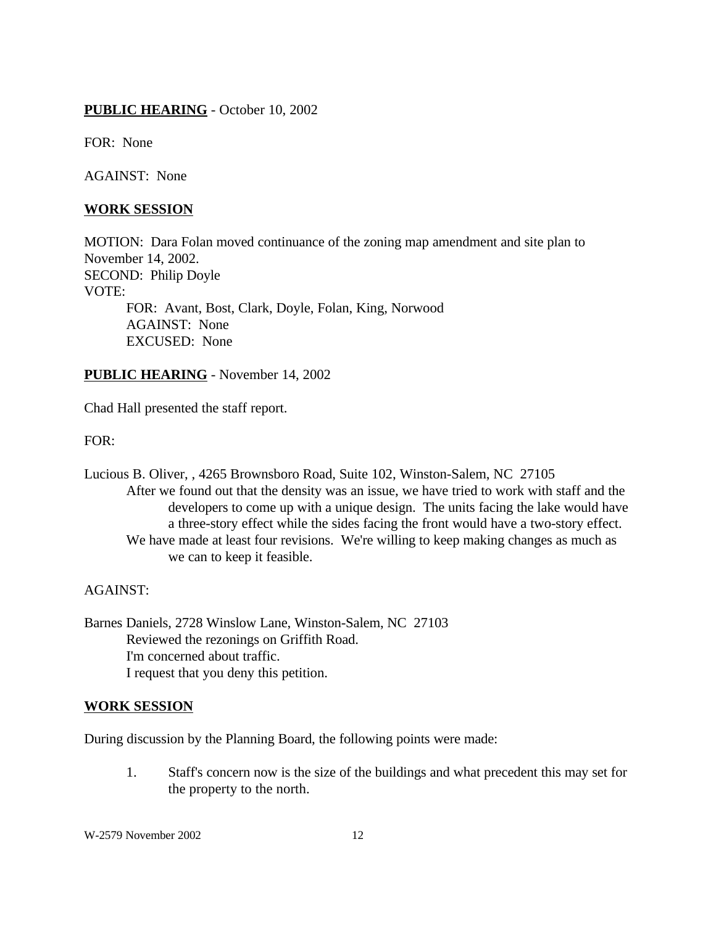# **PUBLIC HEARING** - October 10, 2002

FOR: None

AGAINST: None

#### **WORK SESSION**

MOTION: Dara Folan moved continuance of the zoning map amendment and site plan to November 14, 2002. SECOND: Philip Doyle VOTE: FOR: Avant, Bost, Clark, Doyle, Folan, King, Norwood AGAINST: None EXCUSED: None

**PUBLIC HEARING** - November 14, 2002

Chad Hall presented the staff report.

FOR:

Lucious B. Oliver, , 4265 Brownsboro Road, Suite 102, Winston-Salem, NC 27105 After we found out that the density was an issue, we have tried to work with staff and the developers to come up with a unique design. The units facing the lake would have a three-story effect while the sides facing the front would have a two-story effect. We have made at least four revisions. We're willing to keep making changes as much as we can to keep it feasible.

#### AGAINST:

Barnes Daniels, 2728 Winslow Lane, Winston-Salem, NC 27103 Reviewed the rezonings on Griffith Road. I'm concerned about traffic. I request that you deny this petition.

#### **WORK SESSION**

During discussion by the Planning Board, the following points were made:

1. Staff's concern now is the size of the buildings and what precedent this may set for the property to the north.

W-2579 November 2002 12